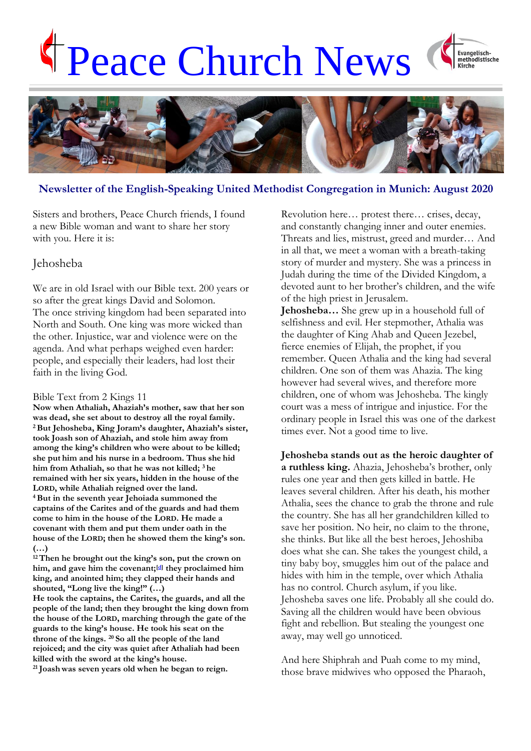# Peace Church News





# **Newsletter of the English-Speaking United Methodist Congregation in Munich: August 2020**

Sisters and brothers, Peace Church friends, I found a new Bible woman and want to share her story with you. Here it is:

### Jehosheba

We are in old Israel with our Bible text. 200 years or so after the great kings David and Solomon. The once striving kingdom had been separated into North and South. One king was more wicked than the other. Injustice, war and violence were on the agenda. And what perhaps weighed even harder: people, and especially their leaders, had lost their faith in the living God.

### Bible Text from 2 Kings 11

**Now when Athaliah, Ahaziah's mother, saw that her son was dead, she set about to destroy all the royal family. <sup>2</sup>But Jehosheba, King Joram's daughter, Ahaziah's sister, took Joash son of Ahaziah, and stole him away from among the king's children who were about to be killed; she put him and his nurse in a bedroom. Thus she hid him from Athaliah, so that he was not killed; <sup>3</sup> he remained with her six years, hidden in the house of the LORD, while Athaliah reigned over the land. <sup>4</sup>But in the seventh year Jehoiada summoned the captains of the Carites and of the guards and had them come to him in the house of the LORD. He made a covenant with them and put them under oath in the house of the LORD; then he showed them the king's son. (…)**

**<sup>12</sup>Then he brought out the king's son, put the crown on him, and gave him the covenant;[\[d\]](https://www.biblegateway.com/passage/?search=2+Kings+11&version=NRSV#fen-NRSV-9842d) they proclaimed him king, and anointed him; they clapped their hands and shouted, "Long live the king!" (…)**

**He took the captains, the Carites, the guards, and all the people of the land; then they brought the king down from the house of the LORD, marching through the gate of the guards to the king's house. He took his seat on the throne of the kings. <sup>20</sup> So all the people of the land rejoiced; and the city was quiet after Athaliah had been killed with the sword at the king's house.**

**<sup>21</sup> Joash was seven years old when he began to reign.**

Revolution here… protest there… crises, decay, and constantly changing inner and outer enemies. Threats and lies, mistrust, greed and murder… And in all that, we meet a woman with a breath-taking story of murder and mystery. She was a princess in Judah during the time of the Divided Kingdom, a devoted aunt to her brother's children, and the wife of the high priest in Jerusalem.

**Jehosheba…** She grew up in a household full of selfishness and evil. Her stepmother, Athalia was the daughter of King Ahab and Queen Jezebel, fierce enemies of Elijah, the prophet, if you remember. Queen Athalia and the king had several children. One son of them was Ahazia. The king however had several wives, and therefore more children, one of whom was Jehosheba. The kingly court was a mess of intrigue and injustice. For the ordinary people in Israel this was one of the darkest times ever. Not a good time to live.

**Jehosheba stands out as the heroic daughter of a ruthless king.** Ahazia, Jehosheba's brother, only rules one year and then gets killed in battle. He leaves several children. After his death, his mother Athalia, sees the chance to grab the throne and rule the country. She has all her grandchildren killed to save her position. No heir, no claim to the throne, she thinks. But like all the best heroes, Jehoshiba does what she can. She takes the youngest child, a tiny baby boy, smuggles him out of the palace and hides with him in the temple, over which Athalia has no control. Church asylum, if you like. Jehosheba saves one life. Probably all she could do. Saving all the children would have been obvious fight and rebellion. But stealing the youngest one away, may well go unnoticed.

And here Shiphrah and Puah come to my mind, those brave midwives who opposed the Pharaoh,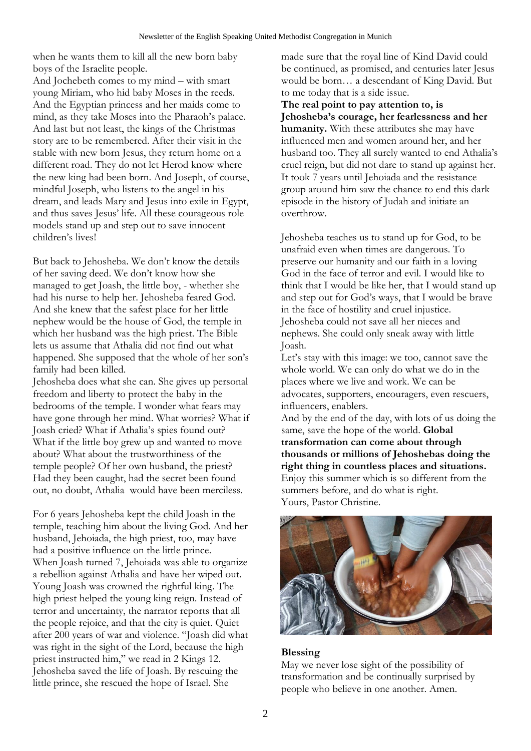when he wants them to kill all the new born baby boys of the Israelite people.

And Jochebeth comes to my mind – with smart young Miriam, who hid baby Moses in the reeds. And the Egyptian princess and her maids come to mind, as they take Moses into the Pharaoh's palace. And last but not least, the kings of the Christmas story are to be remembered. After their visit in the stable with new born Jesus, they return home on a different road. They do not let Herod know where the new king had been born. And Joseph, of course, mindful Joseph, who listens to the angel in his dream, and leads Mary and Jesus into exile in Egypt, and thus saves Jesus' life. All these courageous role models stand up and step out to save innocent children's lives!

But back to Jehosheba. We don't know the details of her saving deed. We don't know how she managed to get Joash, the little boy, - whether she had his nurse to help her. Jehosheba feared God. And she knew that the safest place for her little nephew would be the house of God, the temple in which her husband was the high priest. The Bible lets us assume that Athalia did not find out what happened. She supposed that the whole of her son's family had been killed.

Jehosheba does what she can. She gives up personal freedom and liberty to protect the baby in the bedrooms of the temple. I wonder what fears may have gone through her mind. What worries? What if Joash cried? What if Athalia's spies found out? What if the little boy grew up and wanted to move about? What about the trustworthiness of the temple people? Of her own husband, the priest? Had they been caught, had the secret been found out, no doubt, Athalia would have been merciless.

For 6 years Jehosheba kept the child Joash in the temple, teaching him about the living God. And her husband, Jehoiada, the high priest, too, may have had a positive influence on the little prince. When Joash turned 7, Jehoiada was able to organize a rebellion against Athalia and have her wiped out. Young Joash was crowned the rightful king. The high priest helped the young king reign. Instead of terror and uncertainty, the narrator reports that all the people rejoice, and that the city is quiet. Quiet after 200 years of war and violence. "Joash did what was right in the sight of the Lord, because the high priest instructed him," we read in 2 Kings 12. Jehosheba saved the life of Joash. By rescuing the little prince, she rescued the hope of Israel. She

made sure that the royal line of Kind David could be continued, as promised, and centuries later Jesus would be born… a descendant of King David. But to me today that is a side issue.

**The real point to pay attention to, is Jehosheba's courage, her fearlessness and her humanity.** With these attributes she may have influenced men and women around her, and her husband too. They all surely wanted to end Athalia's cruel reign, but did not dare to stand up against her. It took 7 years until Jehoiada and the resistance group around him saw the chance to end this dark episode in the history of Judah and initiate an overthrow.

Jehosheba teaches us to stand up for God, to be unafraid even when times are dangerous. To preserve our humanity and our faith in a loving God in the face of terror and evil. I would like to think that I would be like her, that I would stand up and step out for God's ways, that I would be brave in the face of hostility and cruel injustice. Jehosheba could not save all her nieces and nephews. She could only sneak away with little Joash.

Let's stay with this image: we too, cannot save the whole world. We can only do what we do in the places where we live and work. We can be advocates, supporters, encouragers, even rescuers, influencers, enablers.

And by the end of the day, with lots of us doing the same, save the hope of the world. **Global transformation can come about through thousands or millions of Jehoshebas doing the right thing in countless places and situations.** Enjoy this summer which is so different from the summers before, and do what is right. Yours, Pastor Christine.



# **Blessing**

May we never lose sight of the possibility of transformation and be continually surprised by people who believe in one another. Amen.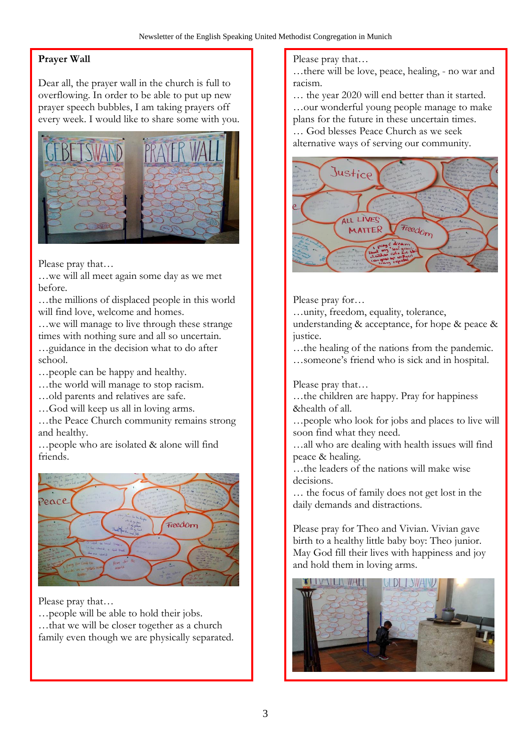# **Prayer Wall**

Dear all, the prayer wall in the church is full to overflowing. In order to be able to put up new prayer speech bubbles, I am taking prayers off every week. I would like to share some with you.



Please pray that…

…we will all meet again some day as we met before.

…the millions of displaced people in this world will find love, welcome and homes.

…we will manage to live through these strange times with nothing sure and all so uncertain. …guidance in the decision what to do after school.

…people can be happy and healthy.

- …the world will manage to stop racism.
- …old parents and relatives are safe.
- …God will keep us all in loving arms.

…the Peace Church community remains strong and healthy.

…people who are isolated & alone will find friends.



Please pray that…

…people will be able to hold their jobs. …that we will be closer together as a church family even though we are physically separated.

### Please pray that…

…there will be love, peace, healing, - no war and racism.

… the year 2020 will end better than it started. …our wonderful young people manage to make plans for the future in these uncertain times.

… God blesses Peace Church as we seek alternative ways of serving our community.



Please pray for…

…unity, freedom, equality, tolerance,

understanding & acceptance, for hope & peace & justice.

…the healing of the nations from the pandemic. …someone's friend who is sick and in hospital.

Please pray that…

…the children are happy. Pray for happiness &health of all.

…people who look for jobs and places to live will soon find what they need.

…all who are dealing with health issues will find peace & healing.

…the leaders of the nations will make wise decisions.

… the focus of family does not get lost in the daily demands and distractions.

Please pray for Theo and Vivian. Vivian gave birth to a healthy little baby boy: Theo junior. May God fill their lives with happiness and joy and hold them in loving arms.